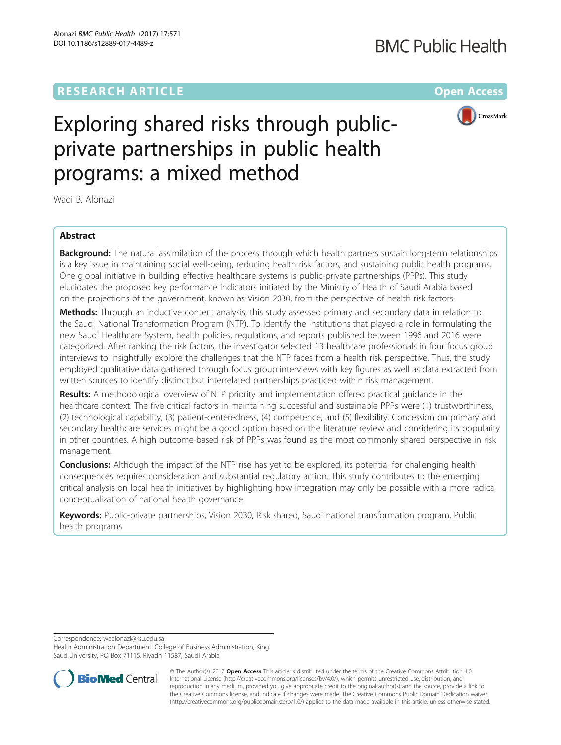# **RESEARCH ARTICLE Example 2014 12:30 The Contract of Contract ACCESS**

# **BMC Public Health**



# Exploring shared risks through publicprivate partnerships in public health programs: a mixed method

Wadi B. Alonazi

# Abstract

**Background:** The natural assimilation of the process through which health partners sustain long-term relationships is a key issue in maintaining social well-being, reducing health risk factors, and sustaining public health programs. One global initiative in building effective healthcare systems is public-private partnerships (PPPs). This study elucidates the proposed key performance indicators initiated by the Ministry of Health of Saudi Arabia based on the projections of the government, known as Vision 2030, from the perspective of health risk factors.

Methods: Through an inductive content analysis, this study assessed primary and secondary data in relation to the Saudi National Transformation Program (NTP). To identify the institutions that played a role in formulating the new Saudi Healthcare System, health policies, regulations, and reports published between 1996 and 2016 were categorized. After ranking the risk factors, the investigator selected 13 healthcare professionals in four focus group interviews to insightfully explore the challenges that the NTP faces from a health risk perspective. Thus, the study employed qualitative data gathered through focus group interviews with key figures as well as data extracted from written sources to identify distinct but interrelated partnerships practiced within risk management.

Results: A methodological overview of NTP priority and implementation offered practical guidance in the healthcare context. The five critical factors in maintaining successful and sustainable PPPs were (1) trustworthiness, (2) technological capability, (3) patient-centeredness, (4) competence, and (5) flexibility. Concession on primary and secondary healthcare services might be a good option based on the literature review and considering its popularity in other countries. A high outcome-based risk of PPPs was found as the most commonly shared perspective in risk management.

**Conclusions:** Although the impact of the NTP rise has yet to be explored, its potential for challenging health consequences requires consideration and substantial regulatory action. This study contributes to the emerging critical analysis on local health initiatives by highlighting how integration may only be possible with a more radical conceptualization of national health governance.

Keywords: Public-private partnerships, Vision 2030, Risk shared, Saudi national transformation program, Public health programs

Correspondence: [waalonazi@ksu.edu.sa](mailto:waalonazi@ksu.edu.sa)

Health Administration Department, College of Business Administration, King Saud University, PO Box 71115, Riyadh 11587, Saudi Arabia



© The Author(s). 2017 **Open Access** This article is distributed under the terms of the Creative Commons Attribution 4.0 International License [\(http://creativecommons.org/licenses/by/4.0/](http://creativecommons.org/licenses/by/4.0/)), which permits unrestricted use, distribution, and reproduction in any medium, provided you give appropriate credit to the original author(s) and the source, provide a link to the Creative Commons license, and indicate if changes were made. The Creative Commons Public Domain Dedication waiver [\(http://creativecommons.org/publicdomain/zero/1.0/](http://creativecommons.org/publicdomain/zero/1.0/)) applies to the data made available in this article, unless otherwise stated.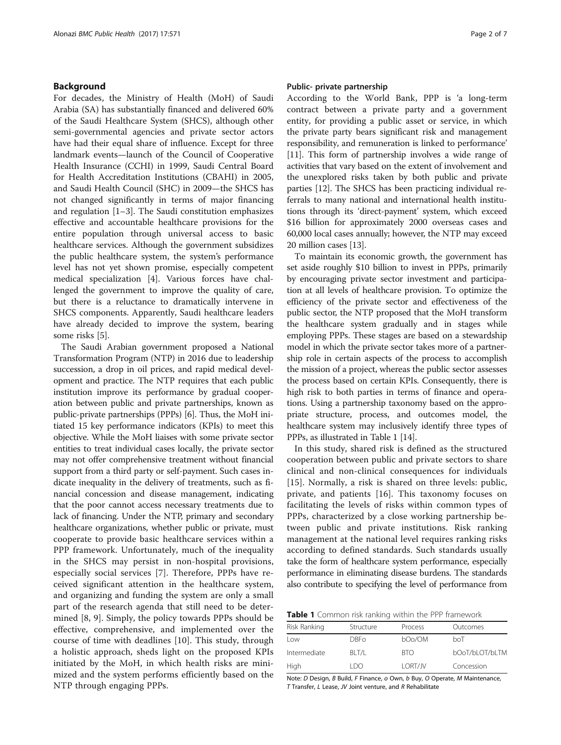# <span id="page-1-0"></span>Background

For decades, the Ministry of Health (MoH) of Saudi Arabia (SA) has substantially financed and delivered 60% of the Saudi Healthcare System (SHCS), although other semi-governmental agencies and private sector actors have had their equal share of influence. Except for three landmark events—launch of the Council of Cooperative Health Insurance (CCHI) in 1999, Saudi Central Board for Health Accreditation Institutions (CBAHI) in 2005, and Saudi Health Council (SHC) in 2009—the SHCS has not changed significantly in terms of major financing and regulation [[1](#page-5-0)–[3](#page-5-0)]. The Saudi constitution emphasizes effective and accountable healthcare provisions for the entire population through universal access to basic healthcare services. Although the government subsidizes the public healthcare system, the system's performance level has not yet shown promise, especially competent medical specialization [[4\]](#page-5-0). Various forces have challenged the government to improve the quality of care, but there is a reluctance to dramatically intervene in SHCS components. Apparently, Saudi healthcare leaders have already decided to improve the system, bearing some risks [[5\]](#page-5-0).

The Saudi Arabian government proposed a National Transformation Program (NTP) in 2016 due to leadership succession, a drop in oil prices, and rapid medical development and practice. The NTP requires that each public institution improve its performance by gradual cooperation between public and private partnerships, known as public-private partnerships (PPPs) [[6\]](#page-5-0). Thus, the MoH initiated 15 key performance indicators (KPIs) to meet this objective. While the MoH liaises with some private sector entities to treat individual cases locally, the private sector may not offer comprehensive treatment without financial support from a third party or self-payment. Such cases indicate inequality in the delivery of treatments, such as financial concession and disease management, indicating that the poor cannot access necessary treatments due to lack of financing. Under the NTP, primary and secondary healthcare organizations, whether public or private, must cooperate to provide basic healthcare services within a PPP framework. Unfortunately, much of the inequality in the SHCS may persist in non-hospital provisions, especially social services [\[7](#page-5-0)]. Therefore, PPPs have received significant attention in the healthcare system, and organizing and funding the system are only a small part of the research agenda that still need to be determined [\[8](#page-6-0), [9](#page-6-0)]. Simply, the policy towards PPPs should be effective, comprehensive, and implemented over the course of time with deadlines [\[10](#page-6-0)]. This study, through a holistic approach, sheds light on the proposed KPIs initiated by the MoH, in which health risks are minimized and the system performs efficiently based on the NTP through engaging PPPs.

# Public- private partnership

According to the World Bank, PPP is 'a long-term contract between a private party and a government entity, for providing a public asset or service, in which the private party bears significant risk and management responsibility, and remuneration is linked to performance' [[11](#page-6-0)]. This form of partnership involves a wide range of activities that vary based on the extent of involvement and the unexplored risks taken by both public and private parties [[12](#page-6-0)]. The SHCS has been practicing individual referrals to many national and international health institutions through its 'direct-payment' system, which exceed \$16 billion for approximately 2000 overseas cases and 60,000 local cases annually; however, the NTP may exceed 20 million cases [\[13\]](#page-6-0).

To maintain its economic growth, the government has set aside roughly \$10 billion to invest in PPPs, primarily by encouraging private sector investment and participation at all levels of healthcare provision. To optimize the efficiency of the private sector and effectiveness of the public sector, the NTP proposed that the MoH transform the healthcare system gradually and in stages while employing PPPs. These stages are based on a stewardship model in which the private sector takes more of a partnership role in certain aspects of the process to accomplish the mission of a project, whereas the public sector assesses the process based on certain KPIs. Consequently, there is high risk to both parties in terms of finance and operations. Using a partnership taxonomy based on the appropriate structure, process, and outcomes model, the healthcare system may inclusively identify three types of PPPs, as illustrated in Table 1 [\[14\]](#page-6-0).

In this study, shared risk is defined as the structured cooperation between public and private sectors to share clinical and non-clinical consequences for individuals [[15](#page-6-0)]. Normally, a risk is shared on three levels: public, private, and patients [\[16](#page-6-0)]. This taxonomy focuses on facilitating the levels of risks within common types of PPPs, characterized by a close working partnership between public and private institutions. Risk ranking management at the national level requires ranking risks according to defined standards. Such standards usually take the form of healthcare system performance, especially performance in eliminating disease burdens. The standards also contribute to specifying the level of performance from

Table 1 Common risk ranking within the PPP framework

| Risk Ranking | Structure | Process        | Outcomes       |
|--------------|-----------|----------------|----------------|
| l ow         | DBE0      | bOo/OM         | hoT            |
| Intermediate | BI T/I    | BTO.           | bOoT/bLOT/bLTM |
| High         | I DO      | <b>LORT/JV</b> | Concession     |

Note: D Design, B Build, F Finance, o Own, b Buy, O Operate, M Maintenance, T Transfer, L Lease, JV Joint venture, and R Rehabilitate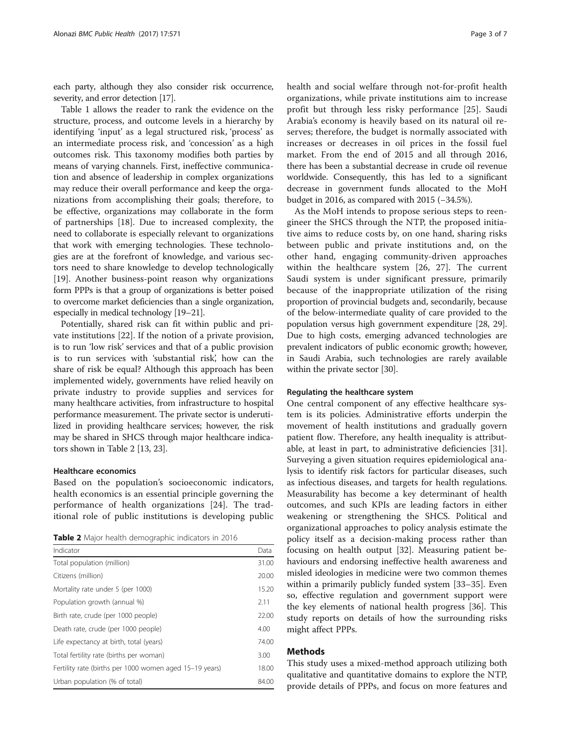each party, although they also consider risk occurrence, severity, and error detection [\[17](#page-6-0)].

Table [1](#page-1-0) allows the reader to rank the evidence on the structure, process, and outcome levels in a hierarchy by identifying 'input' as a legal structured risk, 'process' as an intermediate process risk, and 'concession' as a high outcomes risk. This taxonomy modifies both parties by means of varying channels. First, ineffective communication and absence of leadership in complex organizations may reduce their overall performance and keep the organizations from accomplishing their goals; therefore, to be effective, organizations may collaborate in the form of partnerships [\[18\]](#page-6-0). Due to increased complexity, the need to collaborate is especially relevant to organizations that work with emerging technologies. These technologies are at the forefront of knowledge, and various sectors need to share knowledge to develop technologically [[19\]](#page-6-0). Another business-point reason why organizations form PPPs is that a group of organizations is better poised to overcome market deficiencies than a single organization, especially in medical technology [\[19](#page-6-0)–[21](#page-6-0)].

Potentially, shared risk can fit within public and private institutions [\[22](#page-6-0)]. If the notion of a private provision, is to run 'low risk' services and that of a public provision is to run services with 'substantial risk', how can the share of risk be equal? Although this approach has been implemented widely, governments have relied heavily on private industry to provide supplies and services for many healthcare activities, from infrastructure to hospital performance measurement. The private sector is underutilized in providing healthcare services; however, the risk may be shared in SHCS through major healthcare indicators shown in Table 2 [[13](#page-6-0), [23\]](#page-6-0).

# Healthcare economics

Based on the population's socioeconomic indicators, health economics is an essential principle governing the performance of health organizations [\[24](#page-6-0)]. The traditional role of public institutions is developing public

Table 2 Major health demographic indicators in 2016

| Indicator                                               | Data  |
|---------------------------------------------------------|-------|
| Total population (million)                              | 31.00 |
| Citizens (million)                                      | 20.00 |
| Mortality rate under 5 (per 1000)                       | 15.20 |
| Population growth (annual %)                            | 2.11  |
| Birth rate, crude (per 1000 people)                     | 22.00 |
| Death rate, crude (per 1000 people)                     | 4.00  |
| Life expectancy at birth, total (years)                 | 74.00 |
| Total fertility rate (births per woman)                 | 3.00  |
| Fertility rate (births per 1000 women aged 15–19 years) | 18.00 |
| Urban population (% of total)                           | 84.00 |

health and social welfare through not-for-profit health organizations, while private institutions aim to increase profit but through less risky performance [\[25](#page-6-0)]. Saudi Arabia's economy is heavily based on its natural oil reserves; therefore, the budget is normally associated with increases or decreases in oil prices in the fossil fuel market. From the end of 2015 and all through 2016, there has been a substantial decrease in crude oil revenue worldwide. Consequently, this has led to a significant decrease in government funds allocated to the MoH budget in 2016, as compared with 2015 (−34.5%).

As the MoH intends to propose serious steps to reengineer the SHCS through the NTP, the proposed initiative aims to reduce costs by, on one hand, sharing risks between public and private institutions and, on the other hand, engaging community-driven approaches within the healthcare system [\[26](#page-6-0), [27](#page-6-0)]. The current Saudi system is under significant pressure, primarily because of the inappropriate utilization of the rising proportion of provincial budgets and, secondarily, because of the below-intermediate quality of care provided to the population versus high government expenditure [\[28, 29](#page-6-0)]. Due to high costs, emerging advanced technologies are prevalent indicators of public economic growth; however, in Saudi Arabia, such technologies are rarely available within the private sector [[30](#page-6-0)].

# Regulating the healthcare system

One central component of any effective healthcare system is its policies. Administrative efforts underpin the movement of health institutions and gradually govern patient flow. Therefore, any health inequality is attributable, at least in part, to administrative deficiencies [\[31](#page-6-0)]. Surveying a given situation requires epidemiological analysis to identify risk factors for particular diseases, such as infectious diseases, and targets for health regulations. Measurability has become a key determinant of health outcomes, and such KPIs are leading factors in either weakening or strengthening the SHCS. Political and organizational approaches to policy analysis estimate the policy itself as a decision-making process rather than focusing on health output [\[32](#page-6-0)]. Measuring patient behaviours and endorsing ineffective health awareness and misled ideologies in medicine were two common themes within a primarily publicly funded system [[33](#page-6-0)–[35](#page-6-0)]. Even so, effective regulation and government support were the key elements of national health progress [\[36\]](#page-6-0). This study reports on details of how the surrounding risks might affect PPPs.

# Methods

This study uses a mixed-method approach utilizing both qualitative and quantitative domains to explore the NTP, provide details of PPPs, and focus on more features and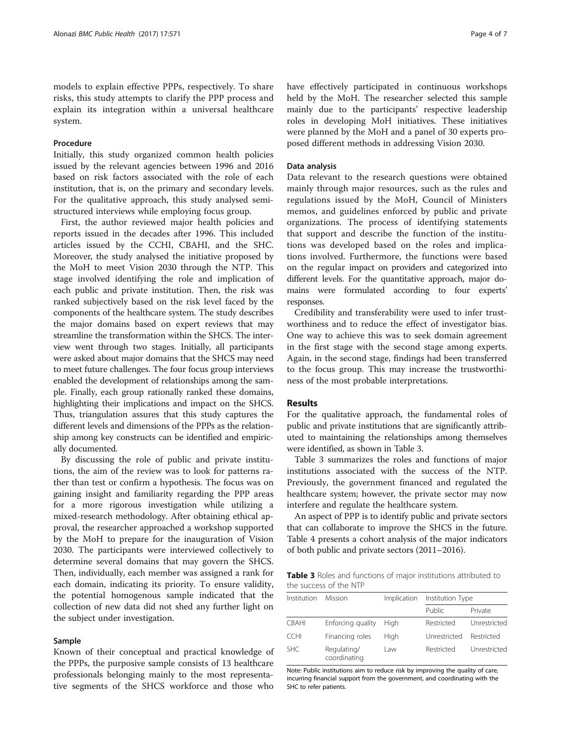models to explain effective PPPs, respectively. To share risks, this study attempts to clarify the PPP process and explain its integration within a universal healthcare system.

# Procedure

Initially, this study organized common health policies issued by the relevant agencies between 1996 and 2016 based on risk factors associated with the role of each institution, that is, on the primary and secondary levels. For the qualitative approach, this study analysed semistructured interviews while employing focus group.

First, the author reviewed major health policies and reports issued in the decades after 1996. This included articles issued by the CCHI, CBAHI, and the SHC. Moreover, the study analysed the initiative proposed by the MoH to meet Vision 2030 through the NTP. This stage involved identifying the role and implication of each public and private institution. Then, the risk was ranked subjectively based on the risk level faced by the components of the healthcare system. The study describes the major domains based on expert reviews that may streamline the transformation within the SHCS. The interview went through two stages. Initially, all participants were asked about major domains that the SHCS may need to meet future challenges. The four focus group interviews enabled the development of relationships among the sample. Finally, each group rationally ranked these domains, highlighting their implications and impact on the SHCS. Thus, triangulation assures that this study captures the different levels and dimensions of the PPPs as the relationship among key constructs can be identified and empirically documented.

By discussing the role of public and private institutions, the aim of the review was to look for patterns rather than test or confirm a hypothesis. The focus was on gaining insight and familiarity regarding the PPP areas for a more rigorous investigation while utilizing a mixed-research methodology. After obtaining ethical approval, the researcher approached a workshop supported by the MoH to prepare for the inauguration of Vision 2030. The participants were interviewed collectively to determine several domains that may govern the SHCS. Then, individually, each member was assigned a rank for each domain, indicating its priority. To ensure validity, the potential homogenous sample indicated that the collection of new data did not shed any further light on the subject under investigation.

# Sample

Known of their conceptual and practical knowledge of the PPPs, the purposive sample consists of 13 healthcare professionals belonging mainly to the most representative segments of the SHCS workforce and those who have effectively participated in continuous workshops held by the MoH. The researcher selected this sample mainly due to the participants' respective leadership roles in developing MoH initiatives. These initiatives were planned by the MoH and a panel of 30 experts proposed different methods in addressing Vision 2030.

# Data analysis

Data relevant to the research questions were obtained mainly through major resources, such as the rules and regulations issued by the MoH, Council of Ministers memos, and guidelines enforced by public and private organizations. The process of identifying statements that support and describe the function of the institutions was developed based on the roles and implications involved. Furthermore, the functions were based on the regular impact on providers and categorized into different levels. For the quantitative approach, major domains were formulated according to four experts' responses.

Credibility and transferability were used to infer trustworthiness and to reduce the effect of investigator bias. One way to achieve this was to seek domain agreement in the first stage with the second stage among experts. Again, in the second stage, findings had been transferred to the focus group. This may increase the trustworthiness of the most probable interpretations.

# Results

For the qualitative approach, the fundamental roles of public and private institutions that are significantly attributed to maintaining the relationships among themselves were identified, as shown in Table 3.

Table 3 summarizes the roles and functions of major institutions associated with the success of the NTP. Previously, the government financed and regulated the healthcare system; however, the private sector may now interfere and regulate the healthcare system.

An aspect of PPP is to identify public and private sectors that can collaborate to improve the SHCS in the future. Table [4](#page-4-0) presents a cohort analysis of the major indicators of both public and private sectors (2011–2016).

Table 3 Roles and functions of major institutions attributed to the success of the NTP

| Institution  | <b>Mission</b>              | Implication | Institution Type |              |  |
|--------------|-----------------------------|-------------|------------------|--------------|--|
|              |                             |             | Public           | Private      |  |
| <b>CBAHI</b> | Enforcing quality           | Hiah        | Restricted       | Unrestricted |  |
| <b>CCHI</b>  | Financing roles             | Hiah        | Unrestricted     | Restricted   |  |
| <b>SHC</b>   | Regulating/<br>coordinating | Law         | Restricted       | Unrestricted |  |

Note: Public institutions aim to reduce risk by improving the quality of care, incurring financial support from the government, and coordinating with the SHC to refer patients.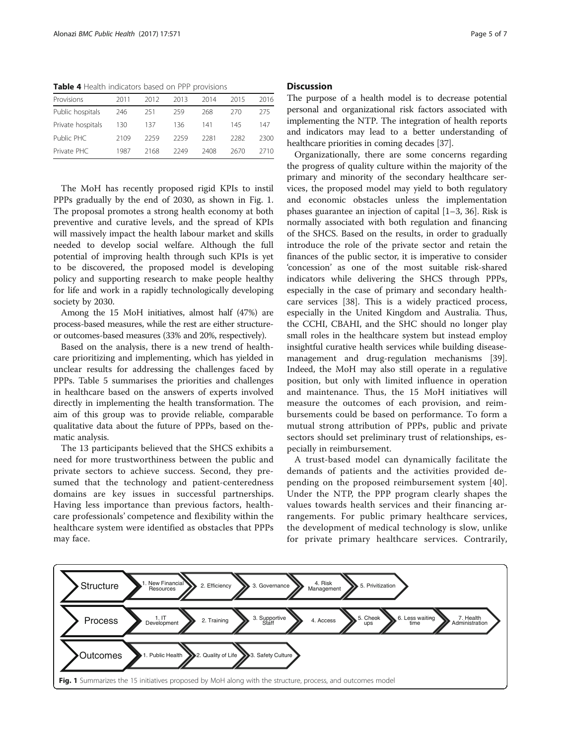<span id="page-4-0"></span>Table 4 Health indicators based on PPP provisions

| Provisions        | 2011 | 2012 | 2013 | 2014 | 2015 | 2016 |
|-------------------|------|------|------|------|------|------|
| Public hospitals  | 246  | 251  | 259  | 268  | 270  | 275  |
| Private hospitals | 130  | 137  | 136  | 141  | 145  | 147  |
| Public PHC        | 2109 | 2259 | 2259 | 2281 | 2282 | 2300 |
| Private PHC       | 1987 | 2168 | 2249 | 2408 | 2670 | 2710 |

The MoH has recently proposed rigid KPIs to instil PPPs gradually by the end of 2030, as shown in Fig. 1. The proposal promotes a strong health economy at both preventive and curative levels, and the spread of KPIs will massively impact the health labour market and skills needed to develop social welfare. Although the full potential of improving health through such KPIs is yet to be discovered, the proposed model is developing policy and supporting research to make people healthy for life and work in a rapidly technologically developing society by 2030.

Among the 15 MoH initiatives, almost half (47%) are process-based measures, while the rest are either structureor outcomes-based measures (33% and 20%, respectively).

Based on the analysis, there is a new trend of healthcare prioritizing and implementing, which has yielded in unclear results for addressing the challenges faced by PPPs. Table [5](#page-5-0) summarises the priorities and challenges in healthcare based on the answers of experts involved directly in implementing the health transformation. The aim of this group was to provide reliable, comparable qualitative data about the future of PPPs, based on thematic analysis.

The 13 participants believed that the SHCS exhibits a need for more trustworthiness between the public and private sectors to achieve success. Second, they presumed that the technology and patient-centeredness domains are key issues in successful partnerships. Having less importance than previous factors, healthcare professionals' competence and flexibility within the healthcare system were identified as obstacles that PPPs may face.

# **Discussion**

The purpose of a health model is to decrease potential personal and organizational risk factors associated with implementing the NTP. The integration of health reports and indicators may lead to a better understanding of healthcare priorities in coming decades [[37\]](#page-6-0).

Organizationally, there are some concerns regarding the progress of quality culture within the majority of the primary and minority of the secondary healthcare services, the proposed model may yield to both regulatory and economic obstacles unless the implementation phases guarantee an injection of capital [[1](#page-5-0)–[3,](#page-5-0) [36\]](#page-6-0). Risk is normally associated with both regulation and financing of the SHCS. Based on the results, in order to gradually introduce the role of the private sector and retain the finances of the public sector, it is imperative to consider 'concession' as one of the most suitable risk-shared indicators while delivering the SHCS through PPPs, especially in the case of primary and secondary healthcare services [\[38\]](#page-6-0). This is a widely practiced process, especially in the United Kingdom and Australia. Thus, the CCHI, CBAHI, and the SHC should no longer play small roles in the healthcare system but instead employ insightful curative health services while building diseasemanagement and drug-regulation mechanisms [\[39](#page-6-0)]. Indeed, the MoH may also still operate in a regulative position, but only with limited influence in operation and maintenance. Thus, the 15 MoH initiatives will measure the outcomes of each provision, and reimbursements could be based on performance. To form a mutual strong attribution of PPPs, public and private sectors should set preliminary trust of relationships, especially in reimbursement.

A trust-based model can dynamically facilitate the demands of patients and the activities provided depending on the proposed reimbursement system [[40](#page-6-0)]. Under the NTP, the PPP program clearly shapes the values towards health services and their financing arrangements. For public primary healthcare services, the development of medical technology is slow, unlike for private primary healthcare services. Contrarily,

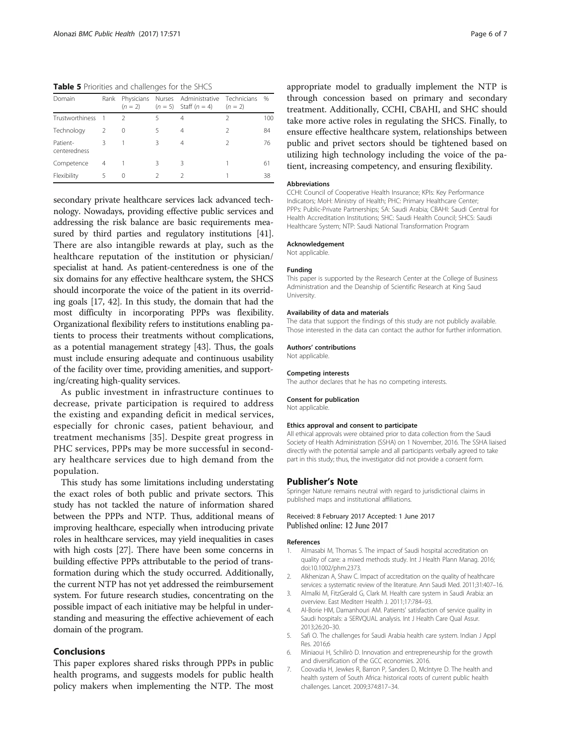<span id="page-5-0"></span>Table 5 Priorities and challenges for the SHCS

| Domain                   | Rank           | $(n = 2)$     |   | Physicians Nurses Administrative Technicians<br>$(n = 5)$ Staff $(n = 4)$ | $(n = 2)$      | $\frac{0}{0}$ |
|--------------------------|----------------|---------------|---|---------------------------------------------------------------------------|----------------|---------------|
| <b>Trustworthiness</b>   | $\overline{1}$ | $\mathcal{P}$ |   | 4                                                                         | $\mathfrak{D}$ | 100           |
| Technology               | $\mathcal{L}$  | 0             |   | 4                                                                         | $\mathfrak{D}$ | 84            |
| Patient-<br>centeredness | 3              |               | 3 | 4                                                                         |                | 76            |
| Competence               | 4              |               | 3 | 3                                                                         |                | 61            |
| Flexibility              | 5              | 0             |   |                                                                           |                | 38            |

secondary private healthcare services lack advanced technology. Nowadays, providing effective public services and addressing the risk balance are basic requirements measured by third parties and regulatory institutions [[41](#page-6-0)]. There are also intangible rewards at play, such as the healthcare reputation of the institution or physician/ specialist at hand. As patient-centeredness is one of the six domains for any effective healthcare system, the SHCS should incorporate the voice of the patient in its overriding goals [\[17](#page-6-0), [42](#page-6-0)]. In this study, the domain that had the most difficulty in incorporating PPPs was flexibility. Organizational flexibility refers to institutions enabling patients to process their treatments without complications, as a potential management strategy [[43\]](#page-6-0). Thus, the goals must include ensuring adequate and continuous usability of the facility over time, providing amenities, and supporting/creating high-quality services.

As public investment in infrastructure continues to decrease, private participation is required to address the existing and expanding deficit in medical services, especially for chronic cases, patient behaviour, and treatment mechanisms [[35](#page-6-0)]. Despite great progress in PHC services, PPPs may be more successful in secondary healthcare services due to high demand from the population.

This study has some limitations including understating the exact roles of both public and private sectors. This study has not tackled the nature of information shared between the PPPs and NTP. Thus, additional means of improving healthcare, especially when introducing private roles in healthcare services, may yield inequalities in cases with high costs [\[27](#page-6-0)]. There have been some concerns in building effective PPPs attributable to the period of transformation during which the study occurred. Additionally, the current NTP has not yet addressed the reimbursement system. For future research studies, concentrating on the possible impact of each initiative may be helpful in understanding and measuring the effective achievement of each domain of the program.

# Conclusions

This paper explores shared risks through PPPs in public health programs, and suggests models for public health policy makers when implementing the NTP. The most appropriate model to gradually implement the NTP is through concession based on primary and secondary treatment. Additionally, CCHI, CBAHI, and SHC should take more active roles in regulating the SHCS. Finally, to ensure effective healthcare system, relationships between public and privet sectors should be tightened based on utilizing high technology including the voice of the patient, increasing competency, and ensuring flexibility.

# Abbreviations

CCHI: Council of Cooperative Health Insurance; KPIs: Key Performance Indicators; MoH: Ministry of Health; PHC: Primary Healthcare Center; PPPs: Public-Private Partnerships; SA: Saudi Arabia; CBAHI: Saudi Central for Health Accreditation Institutions; SHC: Saudi Health Council; SHCS: Saudi Healthcare System; NTP: Saudi National Transformation Program

## Acknowledgement

Not applicable.

# Funding

This paper is supported by the Research Center at the College of Business Administration and the Deanship of Scientific Research at King Saud University.

## Availability of data and materials

The data that support the findings of this study are not publicly available. Those interested in the data can contact the author for further information.

## Authors' contributions

Not applicable.

#### Competing interests The author declares that he has no competing interests.

# Consent for publication

Not applicable.

## Ethics approval and consent to participate

All ethical approvals were obtained prior to data collection from the Saudi Society of Health Administration (SSHA) on 1 November, 2016. The SSHA liaised directly with the potential sample and all participants verbally agreed to take part in this study; thus, the investigator did not provide a consent form.

# Publisher's Note

Springer Nature remains neutral with regard to jurisdictional claims in published maps and institutional affiliations.

# Received: 8 February 2017 Accepted: 1 June 2017 Published online: 12 June 2017

## References

- 1. Almasabi M, Thomas S. The impact of Saudi hospital accreditation on quality of care: a mixed methods study. Int J Health Plann Manag. 2016; doi[:10.1002/phm.2373](http://dx.doi.org/10.1002/phm.2373).
- 2. Alkhenizan A, Shaw C. Impact of accreditation on the quality of healthcare services: a systematic review of the literature. Ann Saudi Med. 2011;31:407–16.
- 3. Almalki M, FitzGerald G, Clark M. Health care system in Saudi Arabia: an overview. East Mediterr Health J. 2011;17:784–93.
- 4. Al-Borie HM, Damanhouri AM. Patients' satisfaction of service quality in Saudi hospitals: a SERVQUAL analysis. Int J Health Care Qual Assur. 2013;26:20–30.
- 5. Safi O. The challenges for Saudi Arabia health care system. Indian J Appl Res. 2016;6
- 6. Miniaoui H, Schilirò D. Innovation and entrepreneurship for the growth and diversification of the GCC economies. 2016.
- 7. Coovadia H, Jewkes R, Barron P, Sanders D, McIntyre D. The health and health system of South Africa: historical roots of current public health challenges. Lancet. 2009;374:817–34.